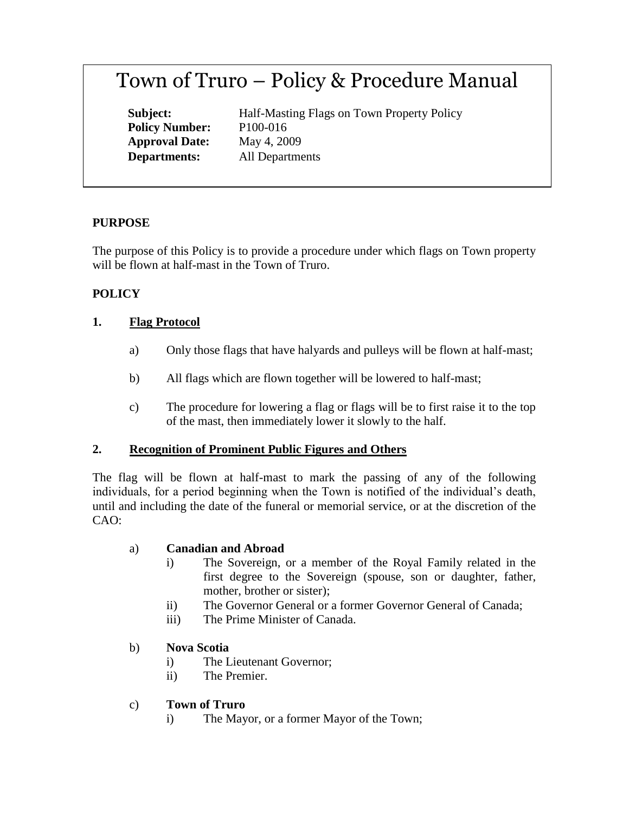# Town of Truro – Policy & Procedure Manual

**Policy Number:** P100-016 **Approval Date:** May 4, 2009

**Subject:** Half-Masting Flags on Town Property Policy **Departments:** All Departments

## **PURPOSE**

The purpose of this Policy is to provide a procedure under which flags on Town property will be flown at half-mast in the Town of Truro.

## **POLICY**

#### **1. Flag Protocol**

- a) Only those flags that have halyards and pulleys will be flown at half-mast;
- b) All flags which are flown together will be lowered to half-mast;
- c) The procedure for lowering a flag or flags will be to first raise it to the top of the mast, then immediately lower it slowly to the half.

#### **2. Recognition of Prominent Public Figures and Others**

The flag will be flown at half-mast to mark the passing of any of the following individuals, for a period beginning when the Town is notified of the individual's death, until and including the date of the funeral or memorial service, or at the discretion of the CAO:

#### a) **Canadian and Abroad**

- i) The Sovereign, or a member of the Royal Family related in the first degree to the Sovereign (spouse, son or daughter, father, mother, brother or sister);
- ii) The Governor General or a former Governor General of Canada;
- iii) The Prime Minister of Canada.

#### b) **Nova Scotia**

- i) The Lieutenant Governor;
- ii) The Premier.
- c) **Town of Truro**
	- i) The Mayor, or a former Mayor of the Town;